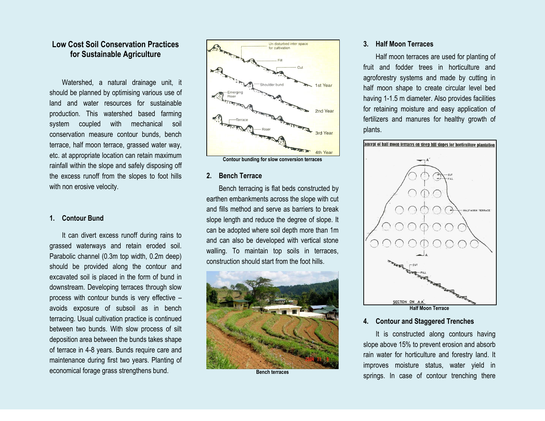# **Low Cost Soil Conservation Practices for Sustainable Agriculture**

Watershed, a natural drainage unit, it should be planned by optimising various use of land and water resources for sustainable production. This watershed based farming system coupled with mechanical soil conservation measure contour bunds, bench terrace, half moon terrace, grassed water way, etc. at appropriate location can retain maximum rainfall within the slope and safely disposing off the excess runoff from the slopes to foot hills with non erosive velocity.

#### **1. Contour Bund**

It can divert excess runoff during rains to grassed waterways and retain eroded soil. Parabolic channel (0.3m top width, 0.2m deep) should be provided along the contour and excavated soil is placed in the form of bund in downstream. Developing terraces through slow process with contour bunds is very effective – avoids exposure of subsoil as in bench terracing. Usual cultivation practice is continued between two bunds. With slow process of silt deposition area between the bunds takes shape of terrace in 4-8 years. Bunds require care and maintenance during first two years. Planting of economical forage grass strengthens bund.





#### **2. Bench Terrace**

Bench terracing is flat beds constructed by earthen embankments across the slope with cut and fills method and serve as barriers to break slope length and reduce the degree of slope. It can be adopted where soil depth more than 1m and can also be developed with vertical stone walling. To maintain top soils in terraces, construction should start from the foot hills.



**Bench terraces**

#### **3. Half Moon Terraces**

Half moon terraces are used for planting of fruit and fodder trees in horticulture and agroforestry systems and made by cutting in half moon shape to create circular level bed having 1-1.5 m diameter. Also provides facilities for retaining moisture and easy application of fertilizers and manures for healthy growth of plants.



#### **4. Contour and Staggered Trenches**

It is constructed along contours having slope above 15% to prevent erosion and absorb rain water for horticulture and forestry land. It improves moisture status, water yield in springs. In case of contour trenching there